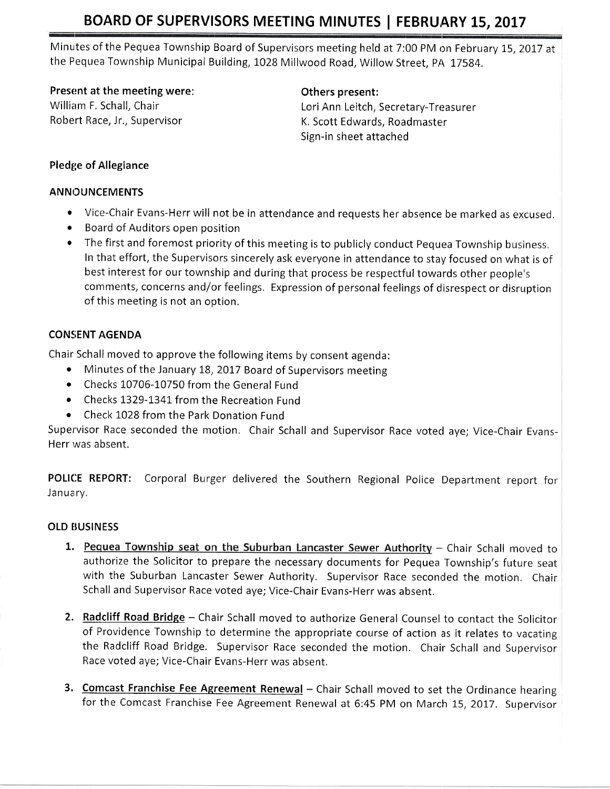# BOARD OF SUPERVISORS MEETING MINUTES | FEBRUARY 15, 2017

Minutes of the Pequea Township Board of Supervisors meeting held at 7:00 PM on February 15, 2017 at the Pequea Township Municipal Building, 1028 Millwood Road, Willow Street, PA 17584.

Present at the meeting were: The meeting others present:

William F. Schall, Chair Lori Ann Leitch, Secretary-Treasurer Robert Race, Jr., Supervisor **K. Scott Edwards, Roadmaster** Sign-in sheet attached

## Pledge of Allegiance

## ANNOUNCEMENTS

- Vice-Chair Evans-Herr will not be in attendance and requests her absence be marked as excused.
- Board of Auditors open position
- The first and foremost priority of this meeting is to publicly conduct Pequea Township business. In that effort, the Supervisors sincerely ask everyone in attendance to stay focused on what is of best interest for our township and during that process be respectful towards other people's comments, concerns and/or feelings, Expression of personal feelings of disrespect or disruption of this meeting is not an option.

# CONSENT AGENDA

Chair Schall moved to approve the following items by consent agenda:

- Minutes of the January 18, 2017 Board of Supervisors meeting
- Checks 10706-10750 from the General Fund
- o Checks I329-I34L from the Recreation Fund
- o Check 1028 from the Park Donation Fund

Supervisor Race seconded the motion. Chair Schall and Supervisor Race voted aye; Vice-Chair Evans-Herr was absent.

POLICE REPORT: Corporal Burger delivered the Southern Regional Police Department report for January.

# **OLD BUSINESS**

- 1. Pequea Township seat on the Suburban Lancaster Sewer Authority Chair Schall moved to authorize the Solicitor to prepare the necessary documents for Pequea Township's future seat with the Suburban Lancaster Sewer Authority. Supervisor Race seconded the motion. Chair Schall and Supervisor Race voted aye; Vice-Chair Evans-Herr was absent,
- 2. Radcliff Road Bridge Chair Schall moved to authorize General Counsel to contact the Solicitor of Providence Township to determine the appropriate course of action as it relates to vacating the Radcliff Road Bridge. Supervisor Race seconded the motion. Chair Schall and Supervisor Race voted aye; Vice-Chair Evans-Herr was absent.
- 3. Comcast Franchise Fee Agreement Renewal Chair Schall moved to set the Ordinance hearing for the Comcast Franchise Fee Agreement Renewal at 6:45 PM on March 15, 2017. Supervisor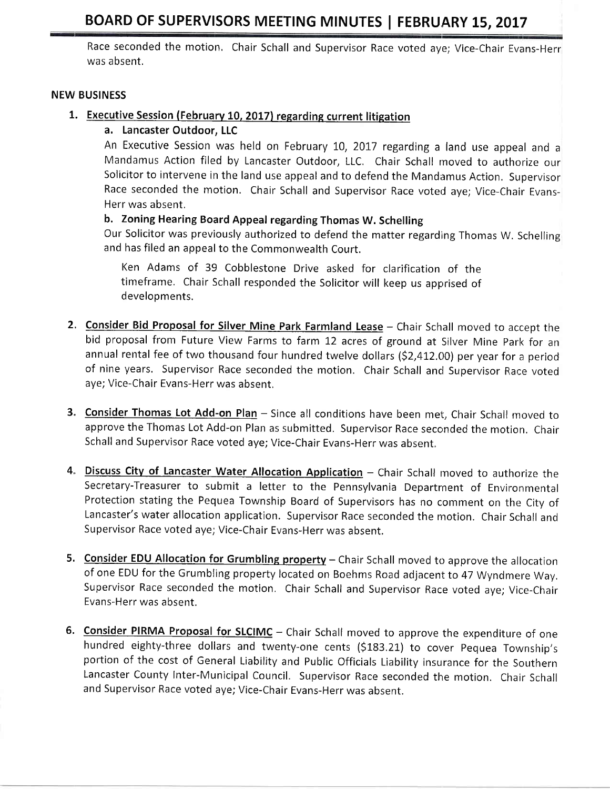# BOARD OF SUPERVISORS MEETING MINUTES | FEBRUARY 15, 2017

Race seconded the motion. Chair Schall and Supervisor Race voted aye; Vice-Chair Evans-Herr was absent.

#### NEW BUSINESS

### 1. Executive Session (February 10, 2017) regarding current litigation

a. Lancaster Outdoor, LLC

An Executive Session was held on February 10, 2017 regarding a land use appeal and a Mandamus Action filed by Lancaster Outdoor, LLC. Chair Schall moved to authorize our Solicitor to intervene in the land use appeal and to defend the Mandamus Action. Supervisor Race seconded the motion. Chair Schall and Supervisor Race voted aye; Vice-Chair Evans-Herr was absent.

# b. Zoning Hearing Board Appeal regarding Thomas W. Schelling

Our Solicitor was previously authorized to defend the matter regarding Thomas W. Schelling and has filed an appeal to the Commonwealth Court.

Ken Adams of 39 Cobblestone Drive asked for clarification of the timeframe. Chair Schall responded the Solicitor will keep us apprrised of developments.

- 2. Consider Bid Proposal for Silver Mine Park Farmland Lease Chair Schall moved to accept the bid proposal from Future View Farms to farm 12 acres of ground at Silver Mine park for an annual rental fee of two thousand four hundred twelve dollars (\$2,412.00) per year for a period of nine years. Supervisor Race seconded the motion. Chair Schall and Supervisor Race voted aye; Vice-Chair Evans-Herr was absent.
- 3. Consider Thomas Lot Add-on Plan Since all conditions have been met, Chair Schall moved to approve the Thomas Lot Add-on Plan as submitted. Supervisor Race seconded the motion. Chair Schall and Supervisor Race voted aye; Vice-Chair Evans-Herr was absent.
- 4. Discuss City of Lancaster Water Allocation Application Chair Schall moved to authorize the Secretary-Treasurer to submit a letter to the Pennsylvania Department of Environmental Protection stating the Pequea Township Board of Supervisors has no comment on the City of Lancaster's water allocation application. Supervisor Race seconded the motion. Chair Schall and Supervisor Race voted aye; Vice-Chair Evans-Herr was absent.
- 5. Consider EDU Allocation for Grumbling property Chair Schall moved to approve the allocation of one EDU for the Grumbling property located on Boehms Road adjacent to 47 Wyndmere Way. Supervisor Race seconded the motion, Chair Schall and Supervisor Race voted aye; Vice-Chair Evans-Herr was absent.
- 6. Consider PIRMA Proposal for SLCIMC Chair Schall moved to approve the expenditure of one hundred eighty-three dollars and twenty-one cents (\$183.21) to cover Pequea Township's portion of the cost of General Liability and Public Officials Liability insurance for the Southern Lancaster County Inter-Municipal Council. Supervisor Race seconded the motion. Chair Schall and Supervisor Race voted aye; Vice-Chair Evans-Herr was absent.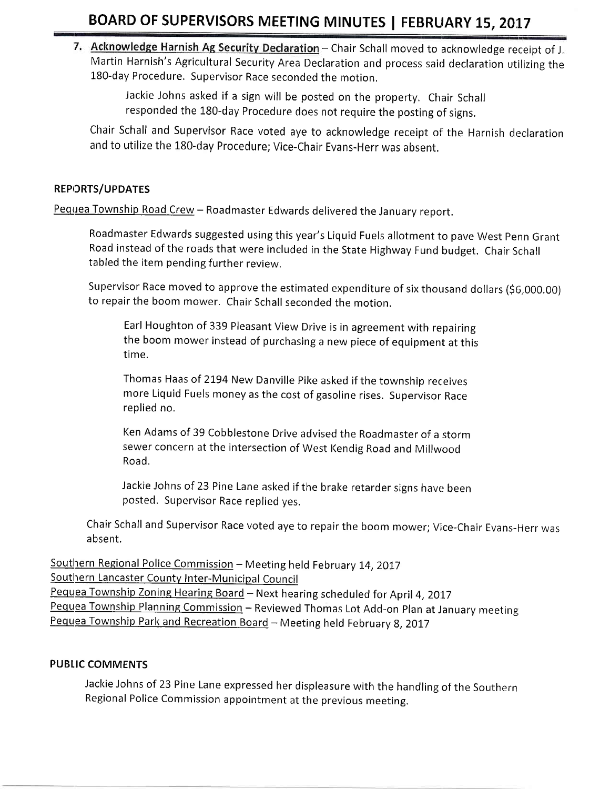# BOARD OF SUPERVISORS MEETING MINUTES | FEBRUARY 15, 2017

7. Acknowledge Harnish Ag Security Declaration - Chair Schall moved to acknowledge receipt of J, Martin Harnish's Agricultural Security Area Declaration and process said declaration utilizing the 180-day Procedure, Supervisor Race seconded the motion,

> Jackie Johns asked if a sign will be posted on the property. Chair Schall responded the 180-day Procedure does not require the posting of signs.

Chair Schall and Supervisor Race voted aye to acknowledge receipt of the Harnish declaration and to utilize the 180-day Procedure; Vice-Chair Evans-Herr was absent.

#### REPORTS/UPDATES

Pequea Township Road Crew - Roadmaster Edwards delivered the January report.

Roadmaster Edwards suggested using this year's Liquid Fuels allotment to pave West Penn Grant Road instead of the roads that were included in the State Highway Fund budget. Chair Schall tabled the item pending further review.

Supervisor Race moved to approve the estimated expenditure of six thousand dollars (56,000.00) to repair the boom mower. chair schall seconded the motion.

Earl Houghton of 339 Pleasant View Drive is in agreement with repairing the boom mower instead of purchasing a new piece of equipment at this time.

Thomas Haas of 2194 New Danville Pike asked if the township receives more Liquid Fuels money as the cost of gasoline rises. Supervisor Race replied no.

Ken Adams of 39 Cobblestone Drive advised the Roadmaster of a storm sewer concern at the intersection of West Kendig Road and Millwood Road.

Jackie Johns of 23 Pine Lane asked if the brake retarder signs have been posted. Supervisor Race replied yes,

Chair Schall and Supervisor Race voted aye to repair the boom mower; Vice-Chair Evans-Herr was <sup>a</sup>bsent.

Southern Regional Police Commission - Meeting held February 14, 2017 Southern Lancaster County Inter-Municipal Council Pequea Township Zoning Hearing Board - Next hearing scheduled for April 4, 2017 Pequea Township Planning Commission - Reviewed Thomas Lot Add-on Plan at January meeting Pequea Township Park and Recreation Board - Meeting held February 8, 2017

#### PUBIIC COMMENTS

Jackie Johns of 23 Pine Lane expressed her displeasure with the handling of the Southern Regional Police commission appointment at the previous meeting,